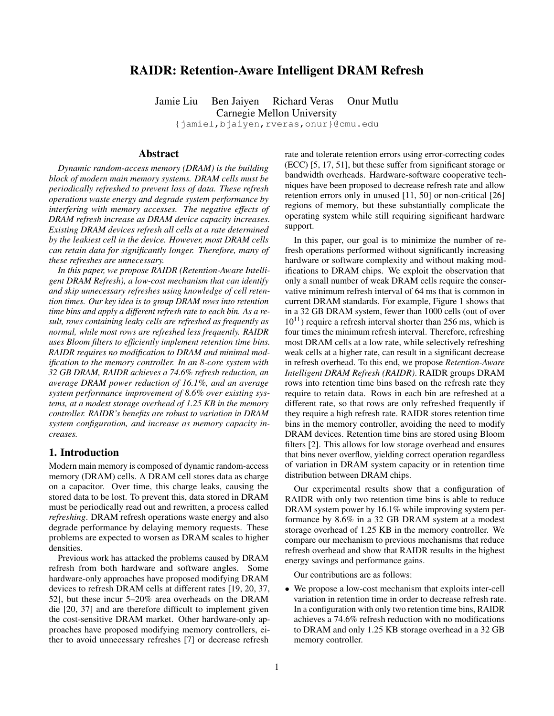# RAIDR: Retention-Aware Intelligent DRAM Refresh

Jamie Liu Ben Jaiyen Richard Veras Onur Mutlu Carnegie Mellon University {jamiel,bjaiyen,rveras,onur}@cmu.edu

### Abstract

*Dynamic random-access memory (DRAM) is the building block of modern main memory systems. DRAM cells must be periodically refreshed to prevent loss of data. These refresh operations waste energy and degrade system performance by interfering with memory accesses. The negative effects of DRAM refresh increase as DRAM device capacity increases. Existing DRAM devices refresh all cells at a rate determined by the leakiest cell in the device. However, most DRAM cells can retain data for significantly longer. Therefore, many of these refreshes are unnecessary.*

*In this paper, we propose RAIDR (Retention-Aware Intelligent DRAM Refresh), a low-cost mechanism that can identify and skip unnecessary refreshes using knowledge of cell retention times. Our key idea is to group DRAM rows into retention time bins and apply a different refresh rate to each bin. As a result, rows containing leaky cells are refreshed as frequently as normal, while most rows are refreshed less frequently. RAIDR uses Bloom filters to efficiently implement retention time bins. RAIDR requires no modification to DRAM and minimal modification to the memory controller. In an 8-core system with 32 GB DRAM, RAIDR achieves a 74.6% refresh reduction, an average DRAM power reduction of 16.1%, and an average system performance improvement of 8.6% over existing systems, at a modest storage overhead of 1.25 KB in the memory controller. RAIDR's benefits are robust to variation in DRAM system configuration, and increase as memory capacity increases.*

## 1. Introduction

Modern main memory is composed of dynamic random-access memory (DRAM) cells. A DRAM cell stores data as charge on a capacitor. Over time, this charge leaks, causing the stored data to be lost. To prevent this, data stored in DRAM must be periodically read out and rewritten, a process called *refreshing*. DRAM refresh operations waste energy and also degrade performance by delaying memory requests. These problems are expected to worsen as DRAM scales to higher densities.

Previous work has attacked the problems caused by DRAM refresh from both hardware and software angles. Some hardware-only approaches have proposed modifying DRAM devices to refresh DRAM cells at different rates [19, 20, 37, 52], but these incur 5–20% area overheads on the DRAM die [20, 37] and are therefore difficult to implement given the cost-sensitive DRAM market. Other hardware-only approaches have proposed modifying memory controllers, either to avoid unnecessary refreshes [7] or decrease refresh

rate and tolerate retention errors using error-correcting codes (ECC) [5, 17, 51], but these suffer from significant storage or bandwidth overheads. Hardware-software cooperative techniques have been proposed to decrease refresh rate and allow retention errors only in unused [11, 50] or non-critical [26] regions of memory, but these substantially complicate the operating system while still requiring significant hardware support.

In this paper, our goal is to minimize the number of refresh operations performed without significantly increasing hardware or software complexity and without making modifications to DRAM chips. We exploit the observation that only a small number of weak DRAM cells require the conservative minimum refresh interval of 64 ms that is common in current DRAM standards. For example, Figure 1 shows that in a 32 GB DRAM system, fewer than 1000 cells (out of over  $10^{11}$ ) require a refresh interval shorter than 256 ms, which is four times the minimum refresh interval. Therefore, refreshing most DRAM cells at a low rate, while selectively refreshing weak cells at a higher rate, can result in a significant decrease in refresh overhead. To this end, we propose *Retention-Aware Intelligent DRAM Refresh (RAIDR)*. RAIDR groups DRAM rows into retention time bins based on the refresh rate they require to retain data. Rows in each bin are refreshed at a different rate, so that rows are only refreshed frequently if they require a high refresh rate. RAIDR stores retention time bins in the memory controller, avoiding the need to modify DRAM devices. Retention time bins are stored using Bloom filters [2]. This allows for low storage overhead and ensures that bins never overflow, yielding correct operation regardless of variation in DRAM system capacity or in retention time distribution between DRAM chips.

Our experimental results show that a configuration of RAIDR with only two retention time bins is able to reduce DRAM system power by 16.1% while improving system performance by 8.6% in a 32 GB DRAM system at a modest storage overhead of 1.25 KB in the memory controller. We compare our mechanism to previous mechanisms that reduce refresh overhead and show that RAIDR results in the highest energy savings and performance gains.

Our contributions are as follows:

• We propose a low-cost mechanism that exploits inter-cell variation in retention time in order to decrease refresh rate. In a configuration with only two retention time bins, RAIDR achieves a 74.6% refresh reduction with no modifications to DRAM and only 1.25 KB storage overhead in a 32 GB memory controller.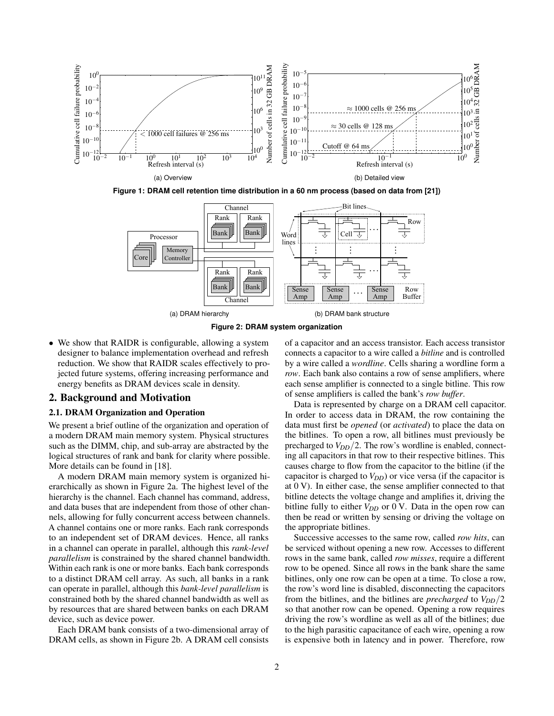

**Figure 1: DRAM cell retention time distribution in a 60 nm process (based on data from [21])**



**Figure 2: DRAM system organization**

• We show that RAIDR is configurable, allowing a system designer to balance implementation overhead and refresh reduction. We show that RAIDR scales effectively to projected future systems, offering increasing performance and energy benefits as DRAM devices scale in density.

### 2. Background and Motivation

### 2.1. DRAM Organization and Operation

We present a brief outline of the organization and operation of a modern DRAM main memory system. Physical structures such as the DIMM, chip, and sub-array are abstracted by the logical structures of rank and bank for clarity where possible. More details can be found in [18].

A modern DRAM main memory system is organized hierarchically as shown in Figure 2a. The highest level of the hierarchy is the channel. Each channel has command, address, and data buses that are independent from those of other channels, allowing for fully concurrent access between channels. A channel contains one or more ranks. Each rank corresponds to an independent set of DRAM devices. Hence, all ranks in a channel can operate in parallel, although this *rank-level parallelism* is constrained by the shared channel bandwidth. Within each rank is one or more banks. Each bank corresponds to a distinct DRAM cell array. As such, all banks in a rank can operate in parallel, although this *bank-level parallelism* is constrained both by the shared channel bandwidth as well as by resources that are shared between banks on each DRAM device, such as device power.

Each DRAM bank consists of a two-dimensional array of DRAM cells, as shown in Figure 2b. A DRAM cell consists of a capacitor and an access transistor. Each access transistor connects a capacitor to a wire called a *bitline* and is controlled by a wire called a *wordline*. Cells sharing a wordline form a *row*. Each bank also contains a row of sense amplifiers, where each sense amplifier is connected to a single bitline. This row of sense amplifiers is called the bank's *row buffer*.

Data is represented by charge on a DRAM cell capacitor. In order to access data in DRAM, the row containing the data must first be *opened* (or *activated*) to place the data on the bitlines. To open a row, all bitlines must previously be precharged to  $V_{DD}/2$ . The row's wordline is enabled, connecting all capacitors in that row to their respective bitlines. This causes charge to flow from the capacitor to the bitline (if the capacitor is charged to *VDD*) or vice versa (if the capacitor is at 0 V). In either case, the sense amplifier connected to that bitline detects the voltage change and amplifies it, driving the bitline fully to either  $V_{DD}$  or 0 V. Data in the open row can then be read or written by sensing or driving the voltage on the appropriate bitlines.

Successive accesses to the same row, called *row hits*, can be serviced without opening a new row. Accesses to different rows in the same bank, called *row misses*, require a different row to be opened. Since all rows in the bank share the same bitlines, only one row can be open at a time. To close a row, the row's word line is disabled, disconnecting the capacitors from the bitlines, and the bitlines are *precharged* to *VDD*/2 so that another row can be opened. Opening a row requires driving the row's wordline as well as all of the bitlines; due to the high parasitic capacitance of each wire, opening a row is expensive both in latency and in power. Therefore, row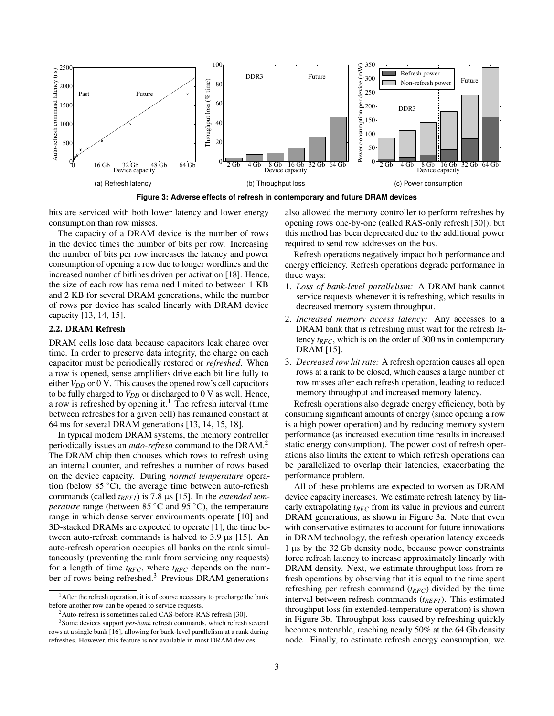

**Figure 3: Adverse effects of refresh in contemporary and future DRAM devices**

hits are serviced with both lower latency and lower energy consumption than row misses.

The capacity of a DRAM device is the number of rows in the device times the number of bits per row. Increasing the number of bits per row increases the latency and power consumption of opening a row due to longer wordlines and the increased number of bitlines driven per activation [18]. Hence, the size of each row has remained limited to between 1 KB and 2 KB for several DRAM generations, while the number of rows per device has scaled linearly with DRAM device capacity [13, 14, 15].

## 2.2. DRAM Refresh

DRAM cells lose data because capacitors leak charge over time. In order to preserve data integrity, the charge on each capacitor must be periodically restored or *refreshed*. When a row is opened, sense amplifiers drive each bit line fully to either  $V_{DD}$  or 0 V. This causes the opened row's cell capacitors to be fully charged to  $V_{DD}$  or discharged to 0 V as well. Hence, a row is refreshed by opening it.<sup>1</sup> The refresh interval (time between refreshes for a given cell) has remained constant at 64 ms for several DRAM generations [13, 14, 15, 18].

In typical modern DRAM systems, the memory controller periodically issues an *auto-refresh* command to the DRAM.<sup>2</sup> The DRAM chip then chooses which rows to refresh using an internal counter, and refreshes a number of rows based on the device capacity. During *normal temperature* operation (below  $85^{\circ}$ C), the average time between auto-refresh commands (called *t<sub>REFI</sub>*) is 7.8 μs [15]. In the *extended temperature* range (between 85 °C and 95 °C), the temperature range in which dense server environments operate [10] and 3D-stacked DRAMs are expected to operate [1], the time between auto-refresh commands is halved to  $3.9 \,\mu s$  [15]. An auto-refresh operation occupies all banks on the rank simultaneously (preventing the rank from servicing any requests) for a length of time *tRFC*, where *tRFC* depends on the number of rows being refreshed. $3$  Previous DRAM generations

also allowed the memory controller to perform refreshes by opening rows one-by-one (called RAS-only refresh [30]), but this method has been deprecated due to the additional power required to send row addresses on the bus.

Refresh operations negatively impact both performance and energy efficiency. Refresh operations degrade performance in three ways:

- 1. *Loss of bank-level parallelism:* A DRAM bank cannot service requests whenever it is refreshing, which results in decreased memory system throughput.
- 2. *Increased memory access latency:* Any accesses to a DRAM bank that is refreshing must wait for the refresh latency *tRFC*, which is on the order of 300 ns in contemporary DRAM [15].
- 3. *Decreased row hit rate:* A refresh operation causes all open rows at a rank to be closed, which causes a large number of row misses after each refresh operation, leading to reduced memory throughput and increased memory latency.

Refresh operations also degrade energy efficiency, both by consuming significant amounts of energy (since opening a row is a high power operation) and by reducing memory system performance (as increased execution time results in increased static energy consumption). The power cost of refresh operations also limits the extent to which refresh operations can be parallelized to overlap their latencies, exacerbating the performance problem.

All of these problems are expected to worsen as DRAM device capacity increases. We estimate refresh latency by linearly extrapolating *tRFC* from its value in previous and current DRAM generations, as shown in Figure 3a. Note that even with conservative estimates to account for future innovations in DRAM technology, the refresh operation latency exceeds 1 µs by the 32 Gb density node, because power constraints force refresh latency to increase approximately linearly with DRAM density. Next, we estimate throughput loss from refresh operations by observing that it is equal to the time spent refreshing per refresh command (*tRFC*) divided by the time interval between refresh commands (*tREF I*). This estimated throughput loss (in extended-temperature operation) is shown in Figure 3b. Throughput loss caused by refreshing quickly becomes untenable, reaching nearly 50% at the 64 Gb density node. Finally, to estimate refresh energy consumption, we

 $<sup>1</sup>$  After the refresh operation, it is of course necessary to precharge the bank</sup> before another row can be opened to service requests.

 $2$ Auto-refresh is sometimes called CAS-before-RAS refresh [30].

<sup>3</sup>Some devices support *per-bank* refresh commands, which refresh several rows at a single bank [16], allowing for bank-level parallelism at a rank during refreshes. However, this feature is not available in most DRAM devices.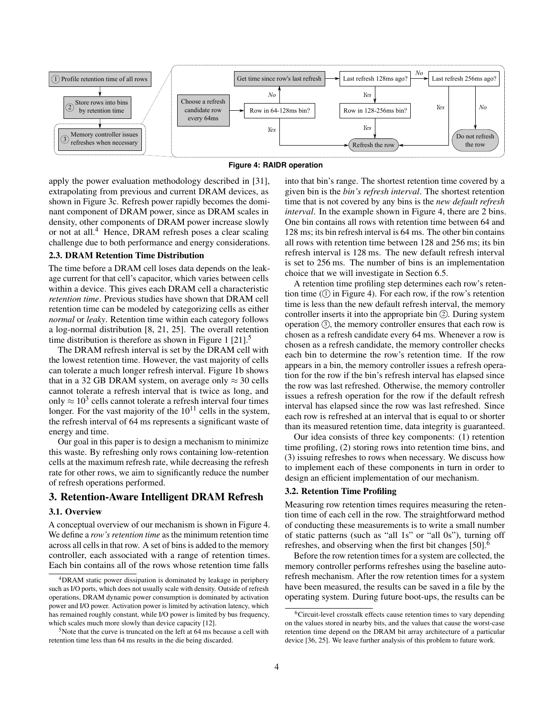



apply the power evaluation methodology described in [31], extrapolating from previous and current DRAM devices, as shown in Figure 3c. Refresh power rapidly becomes the dominant component of DRAM power, since as DRAM scales in density, other components of DRAM power increase slowly or not at all.<sup>4</sup> Hence, DRAM refresh poses a clear scaling challenge due to both performance and energy considerations.

### 2.3. DRAM Retention Time Distribution

The time before a DRAM cell loses data depends on the leakage current for that cell's capacitor, which varies between cells within a device. This gives each DRAM cell a characteristic *retention time*. Previous studies have shown that DRAM cell retention time can be modeled by categorizing cells as either *normal* or *leaky*. Retention time within each category follows a log-normal distribution [8, 21, 25]. The overall retention time distribution is therefore as shown in Figure 1  $[21]$ .<sup>5</sup>

The DRAM refresh interval is set by the DRAM cell with the lowest retention time. However, the vast majority of cells can tolerate a much longer refresh interval. Figure 1b shows that in a 32 GB DRAM system, on average only  $\approx$  30 cells cannot tolerate a refresh interval that is twice as long, and only  $\approx 10^3$  cells cannot tolerate a refresh interval four times longer. For the vast majority of the  $10^{11}$  cells in the system, the refresh interval of 64 ms represents a significant waste of energy and time.

Our goal in this paper is to design a mechanism to minimize this waste. By refreshing only rows containing low-retention cells at the maximum refresh rate, while decreasing the refresh rate for other rows, we aim to significantly reduce the number of refresh operations performed.

### 3. Retention-Aware Intelligent DRAM Refresh

#### 3.1. Overview

A conceptual overview of our mechanism is shown in Figure 4. We define a *row's retention time* as the minimum retention time across all cells in that row. A set of bins is added to the memory controller, each associated with a range of retention times. Each bin contains all of the rows whose retention time falls

into that bin's range. The shortest retention time covered by a given bin is the *bin's refresh interval*. The shortest retention time that is not covered by any bins is the *new default refresh interval*. In the example shown in Figure 4, there are 2 bins. One bin contains all rows with retention time between 64 and 128 ms; its bin refresh interval is 64 ms. The other bin contains all rows with retention time between 128 and 256 ms; its bin refresh interval is 128 ms. The new default refresh interval is set to 256 ms. The number of bins is an implementation choice that we will investigate in Section 6.5.

A retention time profiling step determines each row's retention time  $(1)$  in Figure 4). For each row, if the row's retention time is less than the new default refresh interval, the memory controller inserts it into the appropriate bin  $(2)$ . During system operation  $\circled{3}$ , the memory controller ensures that each row is chosen as a refresh candidate every 64 ms. Whenever a row is chosen as a refresh candidate, the memory controller checks each bin to determine the row's retention time. If the row appears in a bin, the memory controller issues a refresh operation for the row if the bin's refresh interval has elapsed since the row was last refreshed. Otherwise, the memory controller issues a refresh operation for the row if the default refresh interval has elapsed since the row was last refreshed. Since each row is refreshed at an interval that is equal to or shorter than its measured retention time, data integrity is guaranteed.

Our idea consists of three key components: (1) retention time profiling, (2) storing rows into retention time bins, and (3) issuing refreshes to rows when necessary. We discuss how to implement each of these components in turn in order to design an efficient implementation of our mechanism.

## 3.2. Retention Time Profiling

Measuring row retention times requires measuring the retention time of each cell in the row. The straightforward method of conducting these measurements is to write a small number of static patterns (such as "all 1s" or "all 0s"), turning off refreshes, and observing when the first bit changes [50].<sup>6</sup>

Before the row retention times for a system are collected, the memory controller performs refreshes using the baseline autorefresh mechanism. After the row retention times for a system have been measured, the results can be saved in a file by the operating system. During future boot-ups, the results can be

<sup>4</sup>DRAM static power dissipation is dominated by leakage in periphery such as I/O ports, which does not usually scale with density. Outside of refresh operations, DRAM dynamic power consumption is dominated by activation power and I/O power. Activation power is limited by activation latency, which has remained roughly constant, while I/O power is limited by bus frequency, which scales much more slowly than device capacity [12].

<sup>&</sup>lt;sup>5</sup>Note that the curve is truncated on the left at 64 ms because a cell with retention time less than 64 ms results in the die being discarded.

<sup>6</sup>Circuit-level crosstalk effects cause retention times to vary depending on the values stored in nearby bits, and the values that cause the worst-case retention time depend on the DRAM bit array architecture of a particular device [36, 25]. We leave further analysis of this problem to future work.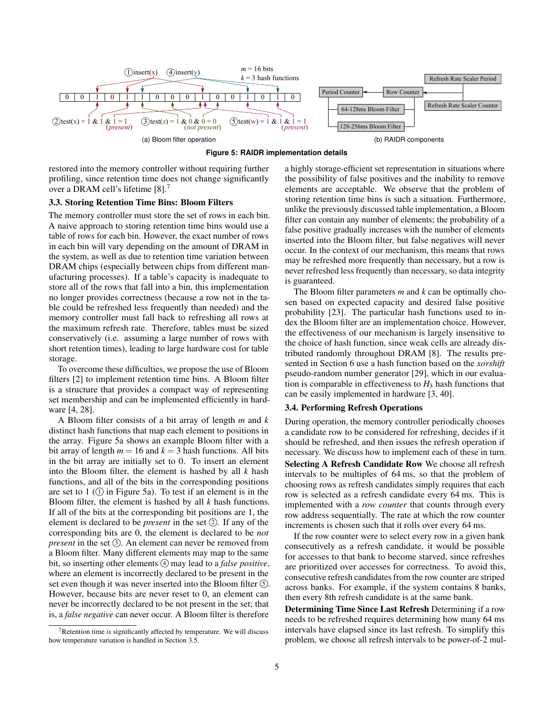



restored into the memory controller without requiring further profiling, since retention time does not change significantly over a DRAM cell's lifetime [8].<sup>7</sup>

#### 3.3. Storing Retention Time Bins: Bloom Filters

The memory controller must store the set of rows in each bin. A naive approach to storing retention time bins would use a table of rows for each bin. However, the exact number of rows in each bin will vary depending on the amount of DRAM in the system, as well as due to retention time variation between DRAM chips (especially between chips from different manufacturing processes). If a table's capacity is inadequate to store all of the rows that fall into a bin, this implementation no longer provides correctness (because a row not in the table could be refreshed less frequently than needed) and the memory controller must fall back to refreshing all rows at the maximum refresh rate. Therefore, tables must be sized conservatively (i.e. assuming a large number of rows with short retention times), leading to large hardware cost for table storage.

To overcome these difficulties, we propose the use of Bloom filters [2] to implement retention time bins. A Bloom filter is a structure that provides a compact way of representing set membership and can be implemented efficiently in hardware [4, 28].

A Bloom filter consists of a bit array of length *m* and *k* distinct hash functions that map each element to positions in the array. Figure 5a shows an example Bloom filter with a bit array of length  $m = 16$  and  $k = 3$  hash functions. All bits in the bit array are initially set to 0. To insert an element into the Bloom filter, the element is hashed by all *k* hash functions, and all of the bits in the corresponding positions are set to 1  $(1)$  in Figure 5a). To test if an element is in the Bloom filter, the element is hashed by all *k* hash functions. If all of the bits at the corresponding bit positions are 1, the element is declared to be *present* in the set 2. If any of the corresponding bits are 0, the element is declared to be *not present* in the set (3). An element can never be removed from a Bloom filter. Many different elements may map to the same bit, so inserting other elements  $\Omega$  may lead to a *false positive*, where an element is incorrectly declared to be present in the set even though it was never inserted into the Bloom filter  $(5)$ . However, because bits are never reset to 0, an element can never be incorrectly declared to be not present in the set; that is, a *false negative* can never occur. A Bloom filter is therefore

a highly storage-efficient set representation in situations where the possibility of false positives and the inability to remove elements are acceptable. We observe that the problem of storing retention time bins is such a situation. Furthermore, unlike the previously discussed table implementation, a Bloom filter can contain any number of elements; the probability of a false positive gradually increases with the number of elements inserted into the Bloom filter, but false negatives will never occur. In the context of our mechanism, this means that rows may be refreshed more frequently than necessary, but a row is never refreshed less frequently than necessary, so data integrity is guaranteed.

The Bloom filter parameters *m* and *k* can be optimally chosen based on expected capacity and desired false positive probability [23]. The particular hash functions used to index the Bloom filter are an implementation choice. However, the effectiveness of our mechanism is largely insensitive to the choice of hash function, since weak cells are already distributed randomly throughout DRAM [8]. The results presented in Section 6 use a hash function based on the *xorshift* pseudo-random number generator [29], which in our evaluation is comparable in effectiveness to  $H_3$  hash functions that can be easily implemented in hardware [3, 40].

### 3.4. Performing Refresh Operations

During operation, the memory controller periodically chooses a candidate row to be considered for refreshing, decides if it should be refreshed, and then issues the refresh operation if necessary. We discuss how to implement each of these in turn. Selecting A Refresh Candidate Row We choose all refresh intervals to be multiples of 64 ms, so that the problem of choosing rows as refresh candidates simply requires that each row is selected as a refresh candidate every 64 ms. This is implemented with a *row counter* that counts through every row address sequentially. The rate at which the row counter increments is chosen such that it rolls over every 64 ms.

If the row counter were to select every row in a given bank consecutively as a refresh candidate, it would be possible for accesses to that bank to become starved, since refreshes are prioritized over accesses for correctness. To avoid this, consecutive refresh candidates from the row counter are striped across banks. For example, if the system contains 8 banks, then every 8th refresh candidate is at the same bank.

Determining Time Since Last Refresh Determining if a row needs to be refreshed requires determining how many 64 ms intervals have elapsed since its last refresh. To simplify this problem, we choose all refresh intervals to be power-of-2 mul-

<sup>7</sup>Retention time *is* significantly affected by temperature. We will discuss how temperature variation is handled in Section 3.5.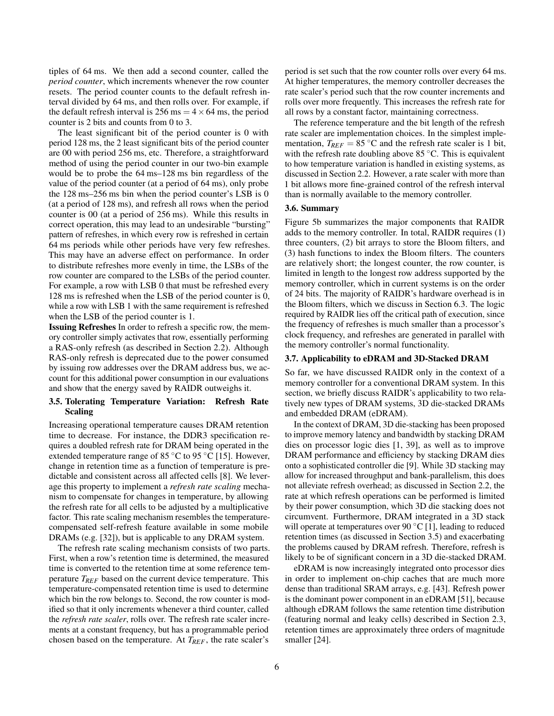tiples of 64 ms. We then add a second counter, called the *period counter*, which increments whenever the row counter resets. The period counter counts to the default refresh interval divided by 64 ms, and then rolls over. For example, if the default refresh interval is 256 ms =  $4 \times 64$  ms, the period counter is 2 bits and counts from 0 to 3.

The least significant bit of the period counter is 0 with period 128 ms, the 2 least significant bits of the period counter are 00 with period 256 ms, etc. Therefore, a straightforward method of using the period counter in our two-bin example would be to probe the 64 ms–128 ms bin regardless of the value of the period counter (at a period of 64 ms), only probe the 128 ms–256 ms bin when the period counter's LSB is 0 (at a period of 128 ms), and refresh all rows when the period counter is 00 (at a period of 256 ms). While this results in correct operation, this may lead to an undesirable "bursting" pattern of refreshes, in which every row is refreshed in certain 64 ms periods while other periods have very few refreshes. This may have an adverse effect on performance. In order to distribute refreshes more evenly in time, the LSBs of the row counter are compared to the LSBs of the period counter. For example, a row with LSB 0 that must be refreshed every 128 ms is refreshed when the LSB of the period counter is 0, while a row with LSB 1 with the same requirement is refreshed when the LSB of the period counter is 1.

Issuing Refreshes In order to refresh a specific row, the memory controller simply activates that row, essentially performing a RAS-only refresh (as described in Section 2.2). Although RAS-only refresh is deprecated due to the power consumed by issuing row addresses over the DRAM address bus, we account for this additional power consumption in our evaluations and show that the energy saved by RAIDR outweighs it.

### 3.5. Tolerating Temperature Variation: Refresh Rate Scaling

Increasing operational temperature causes DRAM retention time to decrease. For instance, the DDR3 specification requires a doubled refresh rate for DRAM being operated in the extended temperature range of 85  $\degree$ C to 95  $\degree$ C [15]. However, change in retention time as a function of temperature is predictable and consistent across all affected cells [8]. We leverage this property to implement a *refresh rate scaling* mechanism to compensate for changes in temperature, by allowing the refresh rate for all cells to be adjusted by a multiplicative factor. This rate scaling mechanism resembles the temperaturecompensated self-refresh feature available in some mobile DRAMs (e.g. [32]), but is applicable to any DRAM system.

The refresh rate scaling mechanism consists of two parts. First, when a row's retention time is determined, the measured time is converted to the retention time at some reference temperature *TREF* based on the current device temperature. This temperature-compensated retention time is used to determine which bin the row belongs to. Second, the row counter is modified so that it only increments whenever a third counter, called the *refresh rate scaler*, rolls over. The refresh rate scaler increments at a constant frequency, but has a programmable period chosen based on the temperature. At *TREF*, the rate scaler's

period is set such that the row counter rolls over every 64 ms. At higher temperatures, the memory controller decreases the rate scaler's period such that the row counter increments and rolls over more frequently. This increases the refresh rate for all rows by a constant factor, maintaining correctness.

The reference temperature and the bit length of the refresh rate scaler are implementation choices. In the simplest implementation,  $T_{REF} = 85$  °C and the refresh rate scaler is 1 bit, with the refresh rate doubling above 85 °C. This is equivalent to how temperature variation is handled in existing systems, as discussed in Section 2.2. However, a rate scaler with more than 1 bit allows more fine-grained control of the refresh interval than is normally available to the memory controller.

#### 3.6. Summary

Figure 5b summarizes the major components that RAIDR adds to the memory controller. In total, RAIDR requires (1) three counters, (2) bit arrays to store the Bloom filters, and (3) hash functions to index the Bloom filters. The counters are relatively short; the longest counter, the row counter, is limited in length to the longest row address supported by the memory controller, which in current systems is on the order of 24 bits. The majority of RAIDR's hardware overhead is in the Bloom filters, which we discuss in Section 6.3. The logic required by RAIDR lies off the critical path of execution, since the frequency of refreshes is much smaller than a processor's clock frequency, and refreshes are generated in parallel with the memory controller's normal functionality.

#### 3.7. Applicability to eDRAM and 3D-Stacked DRAM

So far, we have discussed RAIDR only in the context of a memory controller for a conventional DRAM system. In this section, we briefly discuss RAIDR's applicability to two relatively new types of DRAM systems, 3D die-stacked DRAMs and embedded DRAM (eDRAM).

In the context of DRAM, 3D die-stacking has been proposed to improve memory latency and bandwidth by stacking DRAM dies on processor logic dies [1, 39], as well as to improve DRAM performance and efficiency by stacking DRAM dies onto a sophisticated controller die [9]. While 3D stacking may allow for increased throughput and bank-parallelism, this does not alleviate refresh overhead; as discussed in Section 2.2, the rate at which refresh operations can be performed is limited by their power consumption, which 3D die stacking does not circumvent. Furthermore, DRAM integrated in a 3D stack will operate at temperatures over 90  $\mathrm{^{\circ}C}$  [1], leading to reduced retention times (as discussed in Section 3.5) and exacerbating the problems caused by DRAM refresh. Therefore, refresh is likely to be of significant concern in a 3D die-stacked DRAM.

eDRAM is now increasingly integrated onto processor dies in order to implement on-chip caches that are much more dense than traditional SRAM arrays, e.g. [43]. Refresh power is the dominant power component in an eDRAM [51], because although eDRAM follows the same retention time distribution (featuring normal and leaky cells) described in Section 2.3, retention times are approximately three orders of magnitude smaller [24].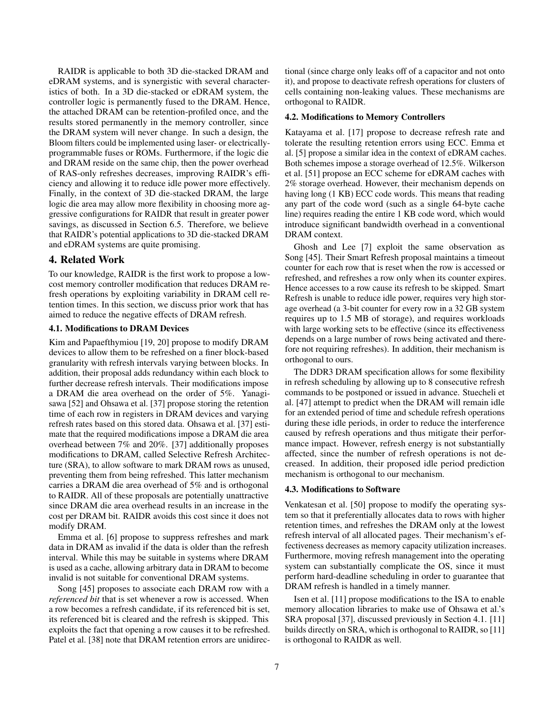RAIDR is applicable to both 3D die-stacked DRAM and eDRAM systems, and is synergistic with several characteristics of both. In a 3D die-stacked or eDRAM system, the controller logic is permanently fused to the DRAM. Hence, the attached DRAM can be retention-profiled once, and the results stored permanently in the memory controller, since the DRAM system will never change. In such a design, the Bloom filters could be implemented using laser- or electricallyprogrammable fuses or ROMs. Furthermore, if the logic die and DRAM reside on the same chip, then the power overhead of RAS-only refreshes decreases, improving RAIDR's efficiency and allowing it to reduce idle power more effectively. Finally, in the context of 3D die-stacked DRAM, the large logic die area may allow more flexibility in choosing more aggressive configurations for RAIDR that result in greater power savings, as discussed in Section 6.5. Therefore, we believe that RAIDR's potential applications to 3D die-stacked DRAM and eDRAM systems are quite promising.

## 4. Related Work

To our knowledge, RAIDR is the first work to propose a lowcost memory controller modification that reduces DRAM refresh operations by exploiting variability in DRAM cell retention times. In this section, we discuss prior work that has aimed to reduce the negative effects of DRAM refresh.

### 4.1. Modifications to DRAM Devices

Kim and Papaefthymiou [19, 20] propose to modify DRAM devices to allow them to be refreshed on a finer block-based granularity with refresh intervals varying between blocks. In addition, their proposal adds redundancy within each block to further decrease refresh intervals. Their modifications impose a DRAM die area overhead on the order of 5%. Yanagisawa [52] and Ohsawa et al. [37] propose storing the retention time of each row in registers in DRAM devices and varying refresh rates based on this stored data. Ohsawa et al. [37] estimate that the required modifications impose a DRAM die area overhead between 7% and 20%. [37] additionally proposes modifications to DRAM, called Selective Refresh Architecture (SRA), to allow software to mark DRAM rows as unused, preventing them from being refreshed. This latter mechanism carries a DRAM die area overhead of 5% and is orthogonal to RAIDR. All of these proposals are potentially unattractive since DRAM die area overhead results in an increase in the cost per DRAM bit. RAIDR avoids this cost since it does not modify DRAM.

Emma et al. [6] propose to suppress refreshes and mark data in DRAM as invalid if the data is older than the refresh interval. While this may be suitable in systems where DRAM is used as a cache, allowing arbitrary data in DRAM to become invalid is not suitable for conventional DRAM systems.

Song [45] proposes to associate each DRAM row with a *referenced bit* that is set whenever a row is accessed. When a row becomes a refresh candidate, if its referenced bit is set, its referenced bit is cleared and the refresh is skipped. This exploits the fact that opening a row causes it to be refreshed. Patel et al. [38] note that DRAM retention errors are unidirectional (since charge only leaks off of a capacitor and not onto it), and propose to deactivate refresh operations for clusters of cells containing non-leaking values. These mechanisms are orthogonal to RAIDR.

### 4.2. Modifications to Memory Controllers

Katayama et al. [17] propose to decrease refresh rate and tolerate the resulting retention errors using ECC. Emma et al. [5] propose a similar idea in the context of eDRAM caches. Both schemes impose a storage overhead of 12.5%. Wilkerson et al. [51] propose an ECC scheme for eDRAM caches with 2% storage overhead. However, their mechanism depends on having long (1 KB) ECC code words. This means that reading any part of the code word (such as a single 64-byte cache line) requires reading the entire 1 KB code word, which would introduce significant bandwidth overhead in a conventional DRAM context.

Ghosh and Lee [7] exploit the same observation as Song [45]. Their Smart Refresh proposal maintains a timeout counter for each row that is reset when the row is accessed or refreshed, and refreshes a row only when its counter expires. Hence accesses to a row cause its refresh to be skipped. Smart Refresh is unable to reduce idle power, requires very high storage overhead (a 3-bit counter for every row in a 32 GB system requires up to 1.5 MB of storage), and requires workloads with large working sets to be effective (since its effectiveness depends on a large number of rows being activated and therefore not requiring refreshes). In addition, their mechanism is orthogonal to ours.

The DDR3 DRAM specification allows for some flexibility in refresh scheduling by allowing up to 8 consecutive refresh commands to be postponed or issued in advance. Stuecheli et al. [47] attempt to predict when the DRAM will remain idle for an extended period of time and schedule refresh operations during these idle periods, in order to reduce the interference caused by refresh operations and thus mitigate their performance impact. However, refresh energy is not substantially affected, since the number of refresh operations is not decreased. In addition, their proposed idle period prediction mechanism is orthogonal to our mechanism.

#### 4.3. Modifications to Software

Venkatesan et al. [50] propose to modify the operating system so that it preferentially allocates data to rows with higher retention times, and refreshes the DRAM only at the lowest refresh interval of all allocated pages. Their mechanism's effectiveness decreases as memory capacity utilization increases. Furthermore, moving refresh management into the operating system can substantially complicate the OS, since it must perform hard-deadline scheduling in order to guarantee that DRAM refresh is handled in a timely manner.

Isen et al. [11] propose modifications to the ISA to enable memory allocation libraries to make use of Ohsawa et al.'s SRA proposal [37], discussed previously in Section 4.1. [11] builds directly on SRA, which is orthogonal to RAIDR, so [11] is orthogonal to RAIDR as well.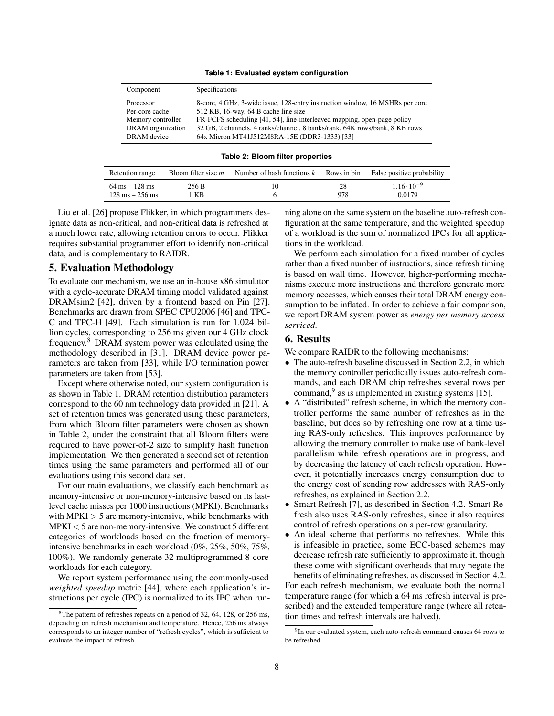#### **Table 1: Evaluated system configuration**

| Component         | Specifications                                                               |
|-------------------|------------------------------------------------------------------------------|
| Processor         | 8-core, 4 GHz, 3-wide issue, 128-entry instruction window, 16 MSHRs per core |
| Per-core cache    | 512 KB, 16-way, 64 B cache line size                                         |
| Memory controller | FR-FCFS scheduling [41, 54], line-interleaved mapping, open-page policy      |
| DRAM organization | 32 GB, 2 channels, 4 ranks/channel, 8 banks/rank, 64K rows/bank, 8 KB rows   |
| DRAM device       | 64x Micron MT41J512M8RA-15E (DDR3-1333) [33]                                 |

**Table 2: Bloom filter properties**

| Retention range                   | Bloom filter size <i>m</i> | Number of hash functions $k$ | Rows in bin | False positive probability |
|-----------------------------------|----------------------------|------------------------------|-------------|----------------------------|
| $64 \text{ ms} - 128 \text{ ms}$  | 256 B                      |                              | 28          | $1.16 \cdot 10^{-9}$       |
| $128 \text{ ms} - 256 \text{ ms}$ | KB                         |                              | 978         | 0.0179                     |

Liu et al. [26] propose Flikker, in which programmers designate data as non-critical, and non-critical data is refreshed at a much lower rate, allowing retention errors to occur. Flikker requires substantial programmer effort to identify non-critical data, and is complementary to RAIDR.

## 5. Evaluation Methodology

To evaluate our mechanism, we use an in-house x86 simulator with a cycle-accurate DRAM timing model validated against DRAMsim2 [42], driven by a frontend based on Pin [27]. Benchmarks are drawn from SPEC CPU2006 [46] and TPC-C and TPC-H [49]. Each simulation is run for 1.024 billion cycles, corresponding to 256 ms given our 4 GHz clock frequency.<sup>8</sup> DRAM system power was calculated using the methodology described in [31]. DRAM device power parameters are taken from [33], while I/O termination power parameters are taken from [53].

Except where otherwise noted, our system configuration is as shown in Table 1. DRAM retention distribution parameters correspond to the 60 nm technology data provided in [21]. A set of retention times was generated using these parameters, from which Bloom filter parameters were chosen as shown in Table 2, under the constraint that all Bloom filters were required to have power-of-2 size to simplify hash function implementation. We then generated a second set of retention times using the same parameters and performed all of our evaluations using this second data set.

For our main evaluations, we classify each benchmark as memory-intensive or non-memory-intensive based on its lastlevel cache misses per 1000 instructions (MPKI). Benchmarks with  $MPKI > 5$  are memory-intensive, while benchmarks with  $MPKI < 5$  are non-memory-intensive. We construct 5 different categories of workloads based on the fraction of memoryintensive benchmarks in each workload (0%, 25%, 50%, 75%, 100%). We randomly generate 32 multiprogrammed 8-core workloads for each category.

We report system performance using the commonly-used *weighted speedup* metric [44], where each application's instructions per cycle (IPC) is normalized to its IPC when running alone on the same system on the baseline auto-refresh configuration at the same temperature, and the weighted speedup of a workload is the sum of normalized IPCs for all applications in the workload.

We perform each simulation for a fixed number of cycles rather than a fixed number of instructions, since refresh timing is based on wall time. However, higher-performing mechanisms execute more instructions and therefore generate more memory accesses, which causes their total DRAM energy consumption to be inflated. In order to achieve a fair comparison, we report DRAM system power as *energy per memory access serviced*.

## 6. Results

We compare RAIDR to the following mechanisms:

- The auto-refresh baseline discussed in Section 2.2, in which the memory controller periodically issues auto-refresh commands, and each DRAM chip refreshes several rows per command,  $9$  as is implemented in existing systems [15].
- A "distributed" refresh scheme, in which the memory controller performs the same number of refreshes as in the baseline, but does so by refreshing one row at a time using RAS-only refreshes. This improves performance by allowing the memory controller to make use of bank-level parallelism while refresh operations are in progress, and by decreasing the latency of each refresh operation. However, it potentially increases energy consumption due to the energy cost of sending row addresses with RAS-only refreshes, as explained in Section 2.2.
- Smart Refresh [7], as described in Section 4.2. Smart Refresh also uses RAS-only refreshes, since it also requires control of refresh operations on a per-row granularity.
- An ideal scheme that performs no refreshes. While this is infeasible in practice, some ECC-based schemes may decrease refresh rate sufficiently to approximate it, though these come with significant overheads that may negate the benefits of eliminating refreshes, as discussed in Section 4.2.

For each refresh mechanism, we evaluate both the normal temperature range (for which a 64 ms refresh interval is prescribed) and the extended temperature range (where all retention times and refresh intervals are halved).

<sup>8</sup>The pattern of refreshes repeats on a period of 32, 64, 128, or 256 ms, depending on refresh mechanism and temperature. Hence, 256 ms always corresponds to an integer number of "refresh cycles", which is sufficient to evaluate the impact of refresh.

<sup>&</sup>lt;sup>9</sup>In our evaluated system, each auto-refresh command causes 64 rows to be refreshed.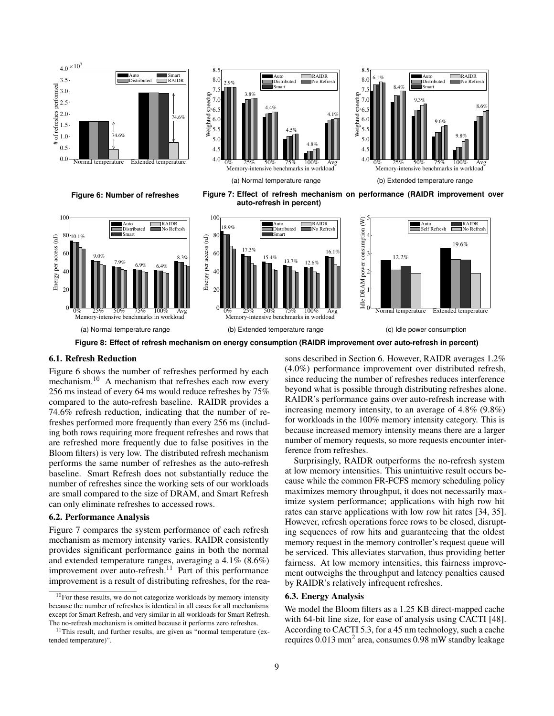





**Figure 6: Number of refreshes**

**Figure 7: Effect of refresh mechanism on performance (RAIDR improvement over auto-refresh in percent)**



**Figure 8: Effect of refresh mechanism on energy consumption (RAIDR improvement over auto-refresh in percent)**

## 6.1. Refresh Reduction

Figure 6 shows the number of refreshes performed by each mechanism.<sup>10</sup> A mechanism that refreshes each row every 256 ms instead of every 64 ms would reduce refreshes by 75% compared to the auto-refresh baseline. RAIDR provides a 74.6% refresh reduction, indicating that the number of refreshes performed more frequently than every 256 ms (including both rows requiring more frequent refreshes and rows that are refreshed more frequently due to false positives in the Bloom filters) is very low. The distributed refresh mechanism performs the same number of refreshes as the auto-refresh baseline. Smart Refresh does not substantially reduce the number of refreshes since the working sets of our workloads are small compared to the size of DRAM, and Smart Refresh can only eliminate refreshes to accessed rows.

#### 6.2. Performance Analysis

Figure 7 compares the system performance of each refresh mechanism as memory intensity varies. RAIDR consistently provides significant performance gains in both the normal and extended temperature ranges, averaging a 4.1% (8.6%) improvement over auto-refresh.<sup>11</sup> Part of this performance improvement is a result of distributing refreshes, for the reasons described in Section 6. However, RAIDR averages 1.2% (4.0%) performance improvement over distributed refresh, since reducing the number of refreshes reduces interference beyond what is possible through distributing refreshes alone. RAIDR's performance gains over auto-refresh increase with increasing memory intensity, to an average of 4.8% (9.8%) for workloads in the 100% memory intensity category. This is because increased memory intensity means there are a larger number of memory requests, so more requests encounter interference from refreshes.

Surprisingly, RAIDR outperforms the no-refresh system at low memory intensities. This unintuitive result occurs because while the common FR-FCFS memory scheduling policy maximizes memory throughput, it does not necessarily maximize system performance; applications with high row hit rates can starve applications with low row hit rates [34, 35]. However, refresh operations force rows to be closed, disrupting sequences of row hits and guaranteeing that the oldest memory request in the memory controller's request queue will be serviced. This alleviates starvation, thus providing better fairness. At low memory intensities, this fairness improvement outweighs the throughput and latency penalties caused by RAIDR's relatively infrequent refreshes.

## 6.3. Energy Analysis

We model the Bloom filters as a 1.25 KB direct-mapped cache with 64-bit line size, for ease of analysis using CACTI [48]. According to CACTI 5.3, for a 45 nm technology, such a cache requires 0.013 mm<sup>2</sup> area, consumes 0.98 mW standby leakage

 $10$ For these results, we do not categorize workloads by memory intensity because the number of refreshes is identical in all cases for all mechanisms except for Smart Refresh, and very similar in all workloads for Smart Refresh. The no-refresh mechanism is omitted because it performs zero refreshes.

 $11$ This result, and further results, are given as "normal temperature (extended temperature)".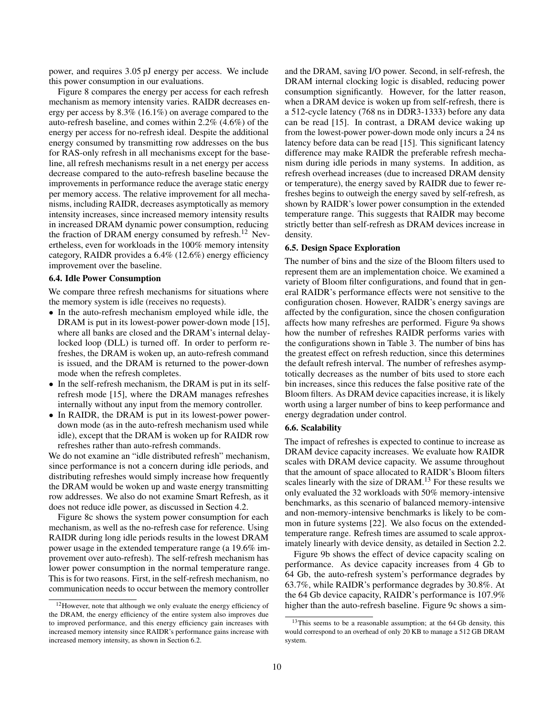power, and requires 3.05 pJ energy per access. We include this power consumption in our evaluations.

Figure 8 compares the energy per access for each refresh mechanism as memory intensity varies. RAIDR decreases energy per access by 8.3% (16.1%) on average compared to the auto-refresh baseline, and comes within 2.2% (4.6%) of the energy per access for no-refresh ideal. Despite the additional energy consumed by transmitting row addresses on the bus for RAS-only refresh in all mechanisms except for the baseline, all refresh mechanisms result in a net energy per access decrease compared to the auto-refresh baseline because the improvements in performance reduce the average static energy per memory access. The relative improvement for all mechanisms, including RAIDR, decreases asymptotically as memory intensity increases, since increased memory intensity results in increased DRAM dynamic power consumption, reducing the fraction of DRAM energy consumed by refresh.<sup>12</sup> Nevertheless, even for workloads in the 100% memory intensity category, RAIDR provides a 6.4% (12.6%) energy efficiency improvement over the baseline.

#### 6.4. Idle Power Consumption

We compare three refresh mechanisms for situations where the memory system is idle (receives no requests).

- In the auto-refresh mechanism employed while idle, the DRAM is put in its lowest-power power-down mode [15], where all banks are closed and the DRAM's internal delaylocked loop (DLL) is turned off. In order to perform refreshes, the DRAM is woken up, an auto-refresh command is issued, and the DRAM is returned to the power-down mode when the refresh completes.
- In the self-refresh mechanism, the DRAM is put in its selfrefresh mode [15], where the DRAM manages refreshes internally without any input from the memory controller.
- In RAIDR, the DRAM is put in its lowest-power powerdown mode (as in the auto-refresh mechanism used while idle), except that the DRAM is woken up for RAIDR row refreshes rather than auto-refresh commands.

We do not examine an "idle distributed refresh" mechanism, since performance is not a concern during idle periods, and distributing refreshes would simply increase how frequently the DRAM would be woken up and waste energy transmitting row addresses. We also do not examine Smart Refresh, as it does not reduce idle power, as discussed in Section 4.2.

Figure 8c shows the system power consumption for each mechanism, as well as the no-refresh case for reference. Using RAIDR during long idle periods results in the lowest DRAM power usage in the extended temperature range (a 19.6% improvement over auto-refresh). The self-refresh mechanism has lower power consumption in the normal temperature range. This is for two reasons. First, in the self-refresh mechanism, no communication needs to occur between the memory controller

and the DRAM, saving I/O power. Second, in self-refresh, the DRAM internal clocking logic is disabled, reducing power consumption significantly. However, for the latter reason, when a DRAM device is woken up from self-refresh, there is a 512-cycle latency (768 ns in DDR3-1333) before any data can be read [15]. In contrast, a DRAM device waking up from the lowest-power power-down mode only incurs a 24 ns latency before data can be read [15]. This significant latency difference may make RAIDR the preferable refresh mechanism during idle periods in many systems. In addition, as refresh overhead increases (due to increased DRAM density or temperature), the energy saved by RAIDR due to fewer refreshes begins to outweigh the energy saved by self-refresh, as shown by RAIDR's lower power consumption in the extended temperature range. This suggests that RAIDR may become strictly better than self-refresh as DRAM devices increase in density.

#### 6.5. Design Space Exploration

The number of bins and the size of the Bloom filters used to represent them are an implementation choice. We examined a variety of Bloom filter configurations, and found that in general RAIDR's performance effects were not sensitive to the configuration chosen. However, RAIDR's energy savings are affected by the configuration, since the chosen configuration affects how many refreshes are performed. Figure 9a shows how the number of refreshes RAIDR performs varies with the configurations shown in Table 3. The number of bins has the greatest effect on refresh reduction, since this determines the default refresh interval. The number of refreshes asymptotically decreases as the number of bits used to store each bin increases, since this reduces the false positive rate of the Bloom filters. As DRAM device capacities increase, it is likely worth using a larger number of bins to keep performance and energy degradation under control.

### 6.6. Scalability

The impact of refreshes is expected to continue to increase as DRAM device capacity increases. We evaluate how RAIDR scales with DRAM device capacity. We assume throughout that the amount of space allocated to RAIDR's Bloom filters scales linearly with the size of DRAM.<sup>13</sup> For these results we only evaluated the 32 workloads with 50% memory-intensive benchmarks, as this scenario of balanced memory-intensive and non-memory-intensive benchmarks is likely to be common in future systems [22]. We also focus on the extendedtemperature range. Refresh times are assumed to scale approximately linearly with device density, as detailed in Section 2.2.

Figure 9b shows the effect of device capacity scaling on performance. As device capacity increases from 4 Gb to 64 Gb, the auto-refresh system's performance degrades by 63.7%, while RAIDR's performance degrades by 30.8%. At the 64 Gb device capacity, RAIDR's performance is 107.9% higher than the auto-refresh baseline. Figure 9c shows a sim-

<sup>&</sup>lt;sup>12</sup>However, note that although we only evaluate the energy efficiency of the DRAM, the energy efficiency of the entire system also improves due to improved performance, and this energy efficiency gain increases with increased memory intensity since RAIDR's performance gains increase with increased memory intensity, as shown in Section 6.2.

 $13$ This seems to be a reasonable assumption; at the 64 Gb density, this would correspond to an overhead of only 20 KB to manage a 512 GB DRAM system.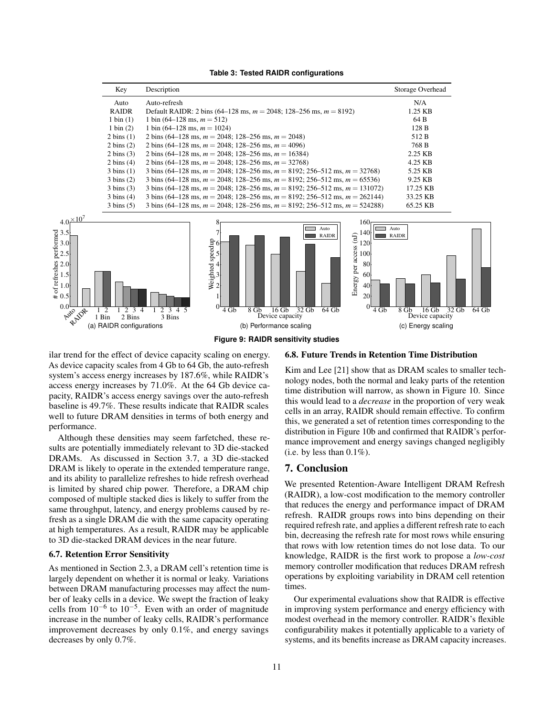| <b>Table 3: Tested RAIDR configurations</b> |  |
|---------------------------------------------|--|
|---------------------------------------------|--|

**Figure 9: RAIDR sensitivity studies**

#### 6.8. Future Trends in Retention Time Distribution

ilar trend for the effect of device capacity scaling on energy. As device capacity scales from 4 Gb to 64 Gb, the auto-refresh system's access energy increases by 187.6%, while RAIDR's access energy increases by 71.0%. At the 64 Gb device capacity, RAIDR's access energy savings over the auto-refresh baseline is 49.7%. These results indicate that RAIDR scales well to future DRAM densities in terms of both energy and performance.

Although these densities may seem farfetched, these results are potentially immediately relevant to 3D die-stacked DRAMs. As discussed in Section 3.7, a 3D die-stacked DRAM is likely to operate in the extended temperature range, and its ability to parallelize refreshes to hide refresh overhead is limited by shared chip power. Therefore, a DRAM chip composed of multiple stacked dies is likely to suffer from the same throughput, latency, and energy problems caused by refresh as a single DRAM die with the same capacity operating at high temperatures. As a result, RAIDR may be applicable to 3D die-stacked DRAM devices in the near future.

#### 6.7. Retention Error Sensitivity

As mentioned in Section 2.3, a DRAM cell's retention time is largely dependent on whether it is normal or leaky. Variations between DRAM manufacturing processes may affect the number of leaky cells in a device. We swept the fraction of leaky cells from  $10^{-6}$  to  $10^{-5}$ . Even with an order of magnitude increase in the number of leaky cells, RAIDR's performance improvement decreases by only 0.1%, and energy savings decreases by only 0.7%.

Kim and Lee [21] show that as DRAM scales to smaller technology nodes, both the normal and leaky parts of the retention time distribution will narrow, as shown in Figure 10. Since this would lead to a *decrease* in the proportion of very weak cells in an array, RAIDR should remain effective. To confirm this, we generated a set of retention times corresponding to the distribution in Figure 10b and confirmed that RAIDR's performance improvement and energy savings changed negligibly (i.e. by less than  $0.1\%$ ).

## 7. Conclusion

We presented Retention-Aware Intelligent DRAM Refresh (RAIDR), a low-cost modification to the memory controller that reduces the energy and performance impact of DRAM refresh. RAIDR groups rows into bins depending on their required refresh rate, and applies a different refresh rate to each bin, decreasing the refresh rate for most rows while ensuring that rows with low retention times do not lose data. To our knowledge, RAIDR is the first work to propose a *low-cost* memory controller modification that reduces DRAM refresh operations by exploiting variability in DRAM cell retention times.

Our experimental evaluations show that RAIDR is effective in improving system performance and energy efficiency with modest overhead in the memory controller. RAIDR's flexible configurability makes it potentially applicable to a variety of systems, and its benefits increase as DRAM capacity increases.